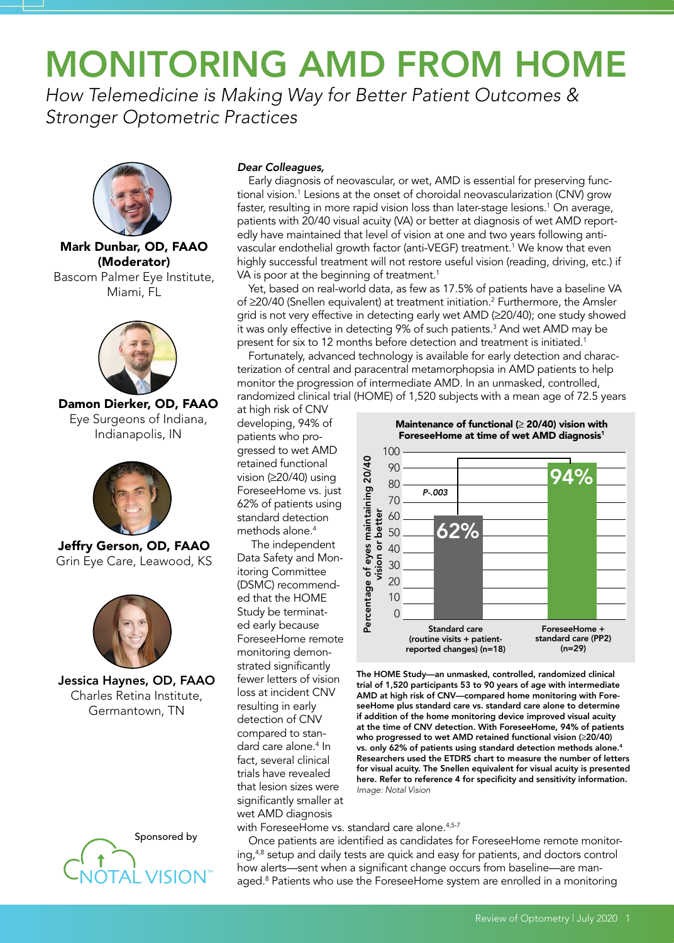# MONITORING AMD FROM HOME

*How Telemedicine is Making Way for Better Patient Outcomes & Stronger Optometric Practices* 



Mark Dunbar, OD, FAAO (Moderator) Bascom Palmer Eye Institute, Miami, FL



Damon Dierker, OD, FAAO Eye Surgeons of Indiana, Indianapolis, IN



Jeffry Gerson, OD, FAAO Grin Eye Care, Leawood, KS



Jessica Haynes, OD, FAAO Charles Retina Institute, Germantown, TN



### *Dear Colleagues,*

Early diagnosis of neovascular, or wet, AMD is essential for preserving functional vision.<sup>1</sup> Lesions at the onset of choroidal neovascularization (CNV) grow faster, resulting in more rapid vision loss than later-stage lesions.1 On average, patients with 20/40 visual acuity (VA) or better at diagnosis of wet AMD reportedly have maintained that level of vision at one and two years following antivascular endothelial growth factor (anti-VEGF) treatment.<sup>1</sup> We know that even highly successful treatment will not restore useful vision (reading, driving, etc.) if VA is poor at the beginning of treatment.<sup>1</sup>

Yet, based on real-world data, as few as 17.5% of patients have a baseline VA of ≥20/40 (Snellen equivalent) at treatment initiation.<sup>2</sup> Furthermore, the Amsler grid is not very effective in detecting early wet AMD (≥20/40); one study showed it was only effective in detecting 9% of such patients.3 And wet AMD may be present for six to 12 months before detection and treatment is initiated.<sup>1</sup>

Fortunately, advanced technology is available for early detection and characterization of central and paracentral metamorphopsia in AMD patients to help monitor the progression of intermediate AMD. In an unmasked, controlled, randomized clinical trial (HOME) of 1,520 subjects with a mean age of 72.5 years

at high risk of CNV developing, 94% of patients who progressed to wet AMD retained functional vision (≥20/40) using ForeseeHome vs. just 62% of patients using standard detection methods alone.<sup>4</sup>

The independent Data Safety and Monitoring Committee (DSMC) recommended that the HOME Study be terminated early because ForeseeHome remote monitoring demonstrated significantly fewer letters of vision loss at incident CNV resulting in early detection of CNV compared to standard care alone.<sup>4</sup> In fact, several clinical trials have revealed that lesion sizes were significantly smaller at wet AMD diagnosis

Percentage of eyes maintaining 20/40<br>Vision or better<br> $\sim$  20 30 50 80 90 90<br>O 0 20 30 50 80 90 90 90 80 70 60 50 40 30 20 10  $\Omega$ Percentage of eyes maintaining 20/40 vision or better Standard care (routine visits + patientreported changes) (n=18) *P-.003* ForeseeHome at time of wet AMD diagnosis<sup>1</sup> ForeseeHome + standard care (PP2) (n=29) 62% 94%

The HOME Study—an unmasked, controlled, randomized clinical trial of 1,520 participants 53 to 90 years of age with intermediate AMD at high risk of CNV—compared home monitoring with ForeseeHome plus standard care vs. standard care alone to determine if addition of the home monitoring device improved visual acuity at the time of CNV detection. With ForeseeHome, 94% of patients who progressed to wet AMD retained functional vision (≥20/40) vs. only 62% of patients using standard detection methods alone.4 Researchers used the ETDRS chart to measure the number of letters for visual acuity. The Snellen equivalent for visual acuity is presented here. Refer to reference 4 for specificity and sensitivity information. *Image: Notal Vision*

with ForeseeHome vs. standard care alone.<sup>4,5-7</sup>

Once patients are identified as candidates for ForeseeHome remote monitoring, $4,8$  setup and daily tests are quick and easy for patients, and doctors control how alerts—sent when a significant change occurs from baseline—are managed.<sup>8</sup> Patients who use the ForeseeHome system are enrolled in a monitoring

Maintenance of functional (≥ 20/40) vision with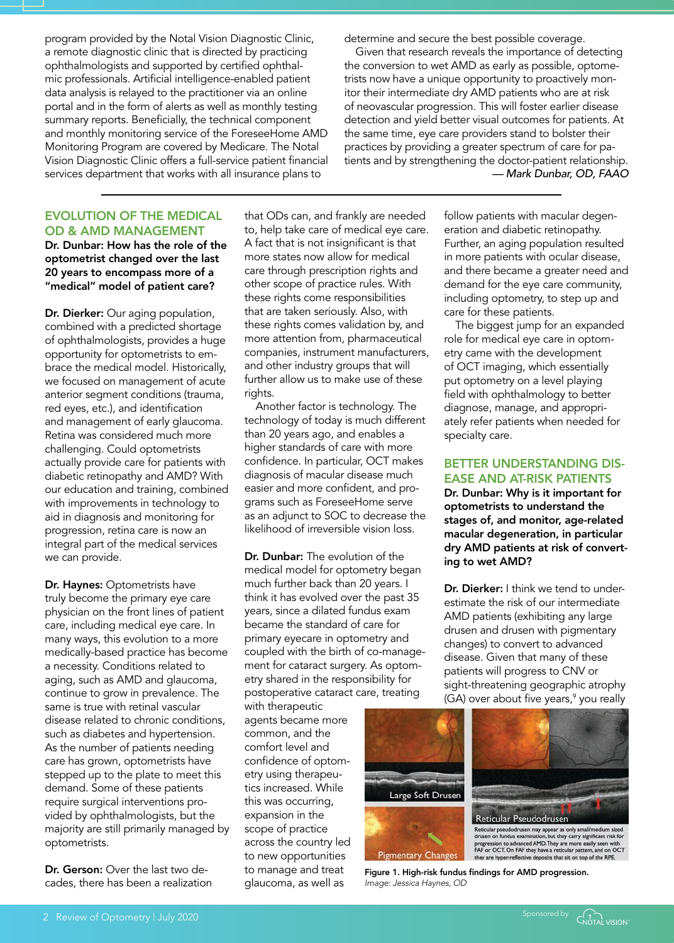program provided by the Notal Vision Diagnostic Clinic, a remote diagnostic clinic that is directed by practicing ophthalmologists and supported by certified ophthalmic professionals. Artificial intelligence-enabled patient data analysis is relayed to the practitioner via an online portal and in the form of alerts as well as monthly testing summary reports. Beneficially, the technical component and monthly monitoring service of the ForeseeHome AMD Monitoring Program are covered by Medicare. The Notal Vision Diagnostic Clinic offers a full-service patient financial services department that works with all insurance plans to

determine and secure the best possible coverage.

Given that research reveals the importance of detecting the conversion to wet AMD as early as possible, optometrists now have a unique opportunity to proactively monitor their intermediate dry AMD patients who are at risk of neovascular progression. This will foster earlier disease detection and yield better visual outcomes for patients. At the same time, eye care providers stand to bolster their practices by providing a greater spectrum of care for patients and by strengthening the doctor-patient relationship. *— Mark Dunbar, OD, FAAO* 

# EVOLUTION OF THE MEDICAL OD & AMD MANAGEMENT

Dr. Dunbar: How has the role of the optometrist changed over the last 20 years to encompass more of a "medical" model of patient care?

Dr. Dierker: Our aging population, combined with a predicted shortage of ophthalmologists, provides a huge opportunity for optometrists to embrace the medical model. Historically, we focused on management of acute anterior segment conditions (trauma, red eyes, etc.), and identification and management of early glaucoma. Retina was considered much more challenging. Could optometrists actually provide care for patients with diabetic retinopathy and AMD? With our education and training, combined with improvements in technology to aid in diagnosis and monitoring for progression, retina care is now an integral part of the medical services we can provide.

Dr. Haynes: Optometrists have truly become the primary eye care physician on the front lines of patient care, including medical eye care. In many ways, this evolution to a more medically-based practice has become a necessity. Conditions related to aging, such as AMD and glaucoma, continue to grow in prevalence. The same is true with retinal vascular disease related to chronic conditions, such as diabetes and hypertension. As the number of patients needing care has grown, optometrists have stepped up to the plate to meet this demand. Some of these patients require surgical interventions provided by ophthalmologists, but the majority are still primarily managed by optometrists.

Dr. Gerson: Over the last two decades, there has been a realization that ODs can, and frankly are needed to, help take care of medical eye care. A fact that is not insignificant is that more states now allow for medical care through prescription rights and other scope of practice rules. With these rights come responsibilities that are taken seriously. Also, with these rights comes validation by, and more attention from, pharmaceutical companies, instrument manufacturers, and other industry groups that will further allow us to make use of these rights.

Another factor is technology. The technology of today is much different than 20 years ago, and enables a higher standards of care with more confidence. In particular, OCT makes diagnosis of macular disease much easier and more confident, and programs such as ForeseeHome serve as an adjunct to SOC to decrease the likelihood of irreversible vision loss.

Dr. Dunbar: The evolution of the medical model for optometry began much further back than 20 years. I think it has evolved over the past 35 years, since a dilated fundus exam became the standard of care for primary eyecare in optometry and coupled with the birth of co-management for cataract surgery. As optometry shared in the responsibility for postoperative cataract care, treating

with therapeutic agents became more common, and the comfort level and confidence of optometry using therapeutics increased. While this was occurring, expansion in the scope of practice across the country led to new opportunities to manage and treat glaucoma, as well as

follow patients with macular degeneration and diabetic retinopathy. Further, an aging population resulted in more patients with ocular disease, and there became a greater need and demand for the eye care community, including optometry, to step up and care for these patients.

The biggest jump for an expanded role for medical eye care in optometry came with the development of OCT imaging, which essentially put optometry on a level playing field with ophthalmology to better diagnose, manage, and appropriately refer patients when needed for specialty care.

# BETTER UNDERSTANDING DIS-EASE AND AT-RISK PATIENTS

Dr. Dunbar: Why is it important for optometrists to understand the stages of, and monitor, age-related macular degeneration, in particular dry AMD patients at risk of converting to wet AMD?

Dr. Dierker: I think we tend to underestimate the risk of our intermediate AMD patients (exhibiting any large drusen and drusen with pigmentary changes) to convert to advanced disease. Given that many of these patients will progress to CNV or sight-threatening geographic atrophy (GA) over about five years,<sup>9</sup> you really



Figure 1. High-risk fundus findings for AMD progression. *Image: Jessica Haynes, OD*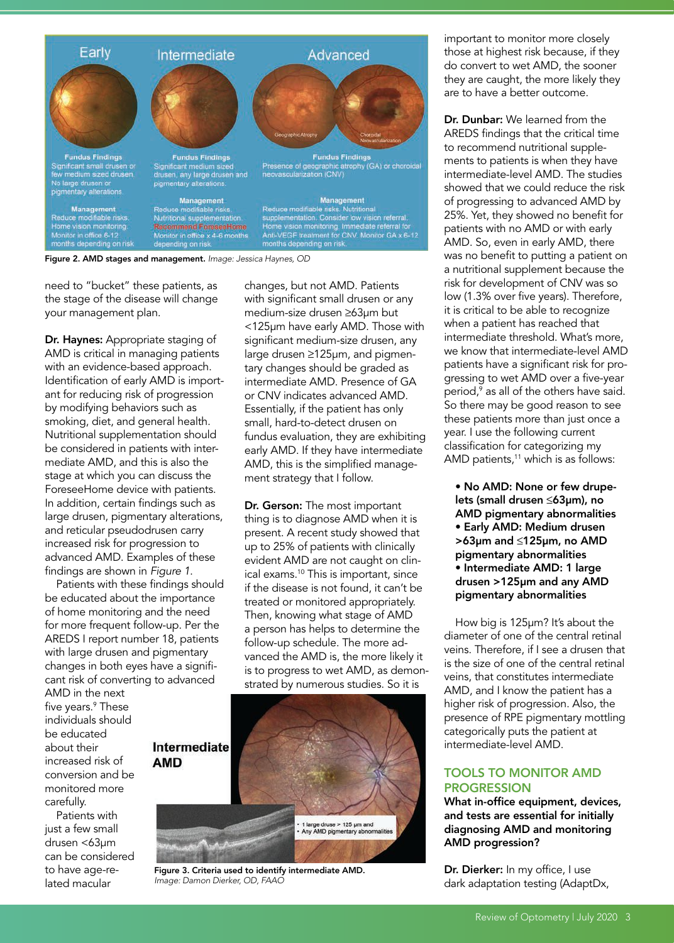

Figure 2. AMD stages and management. *Image: Jessica Haynes, OD*

need to "bucket" these patients, as the stage of the disease will change your management plan.

Dr. Haynes: Appropriate staging of AMD is critical in managing patients with an evidence-based approach. Identification of early AMD is important for reducing risk of progression by modifying behaviors such as smoking, diet, and general health. Nutritional supplementation should be considered in patients with intermediate AMD, and this is also the stage at which you can discuss the ForeseeHome device with patients. In addition, certain findings such as large drusen, pigmentary alterations, and reticular pseudodrusen carry increased risk for progression to advanced AMD. Examples of these findings are shown in *Figure 1*.

Patients with these findings should be educated about the importance of home monitoring and the need for more frequent follow-up. Per the AREDS I report number 18, patients with large drusen and pigmentary changes in both eyes have a significant risk of converting to advanced

AMD in the next five years.9 These individuals should be educated about their increased risk of conversion and be monitored more carefully.

Patients with just a few small drusen <63µm can be considered to have age-related macular

changes, but not AMD. Patients with significant small drusen or any medium-size drusen ≥63µm but <125µm have early AMD. Those with significant medium-size drusen, any large drusen ≥125µm, and pigmentary changes should be graded as intermediate AMD. Presence of GA or CNV indicates advanced AMD. Essentially, if the patient has only small, hard-to-detect drusen on fundus evaluation, they are exhibiting early AMD. If they have intermediate AMD, this is the simplified management strategy that I follow.

Dr. Gerson: The most important thing is to diagnose AMD when it is present. A recent study showed that up to 25% of patients with clinically evident AMD are not caught on clinical exams.<sup>10</sup> This is important, since if the disease is not found, it can't be treated or monitored appropriately. Then, knowing what stage of AMD a person has helps to determine the follow-up schedule. The more advanced the AMD is, the more likely it is to progress to wet AMD, as demonstrated by numerous studies. So it is



Figure 3. Criteria used to identify intermediate AMD. *Image: Damon Dierker, OD, FAAO*

important to monitor more closely those at highest risk because, if they do convert to wet AMD, the sooner they are caught, the more likely they are to have a better outcome.

Dr. Dunbar: We learned from the AREDS findings that the critical time to recommend nutritional supplements to patients is when they have intermediate-level AMD. The studies showed that we could reduce the risk of progressing to advanced AMD by 25%. Yet, they showed no benefit for patients with no AMD or with early AMD. So, even in early AMD, there was no benefit to putting a patient on a nutritional supplement because the risk for development of CNV was so low (1.3% over five years). Therefore, it is critical to be able to recognize when a patient has reached that intermediate threshold. What's more, we know that intermediate-level AMD patients have a significant risk for progressing to wet AMD over a five-year period,9 as all of the others have said. So there may be good reason to see these patients more than just once a year. I use the following current classification for categorizing my AMD patients,<sup>11</sup> which is as follows:

• No AMD: None or few drupelets (small drusen ≤63µm), no AMD pigmentary abnormalities • Early AMD: Medium drusen >63µm and ≤125µm, no AMD pigmentary abnormalities • Intermediate AMD: 1 large drusen >125µm and any AMD pigmentary abnormalities

How big is 125µm? It's about the diameter of one of the central retinal veins. Therefore, if I see a drusen that is the size of one of the central retinal veins, that constitutes intermediate AMD, and I know the patient has a higher risk of progression. Also, the presence of RPE pigmentary mottling categorically puts the patient at intermediate-level AMD.

## TOOLS TO MONITOR AMD PROGRESSION

What in-office equipment, devices, and tests are essential for initially diagnosing AMD and monitoring AMD progression?

Dr. Dierker: In my office, I use dark adaptation testing (AdaptDx,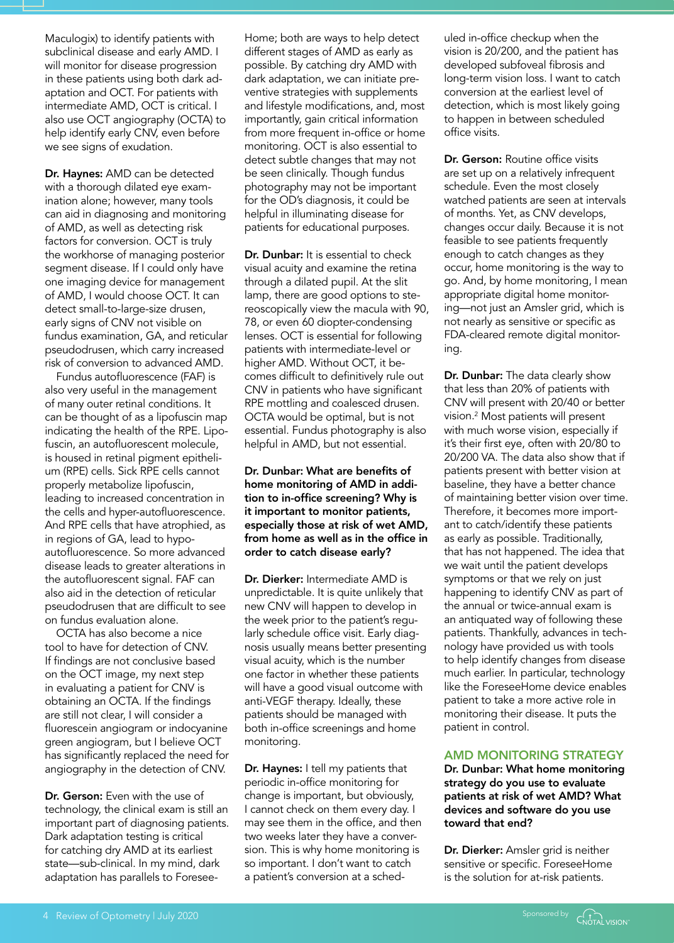Maculogix) to identify patients with subclinical disease and early AMD. I will monitor for disease progression in these patients using both dark adaptation and OCT. For patients with intermediate AMD, OCT is critical. I also use OCT angiography (OCTA) to help identify early CNV, even before we see signs of exudation.

Dr. Haynes: AMD can be detected with a thorough dilated eye examination alone; however, many tools can aid in diagnosing and monitoring of AMD, as well as detecting risk factors for conversion. OCT is truly the workhorse of managing posterior segment disease. If I could only have one imaging device for management of AMD, I would choose OCT. It can detect small-to-large-size drusen, early signs of CNV not visible on fundus examination, GA, and reticular pseudodrusen, which carry increased risk of conversion to advanced AMD.

Fundus autofluorescence (FAF) is also very useful in the management of many outer retinal conditions. It can be thought of as a lipofuscin map indicating the health of the RPE. Lipofuscin, an autofluorescent molecule, is housed in retinal pigment epithelium (RPE) cells. Sick RPE cells cannot properly metabolize lipofuscin, leading to increased concentration in the cells and hyper-autofluorescence. And RPE cells that have atrophied, as in regions of GA, lead to hypoautofluorescence. So more advanced disease leads to greater alterations in the autofluorescent signal. FAF can also aid in the detection of reticular pseudodrusen that are difficult to see on fundus evaluation alone.

OCTA has also become a nice tool to have for detection of CNV. If findings are not conclusive based on the OCT image, my next step in evaluating a patient for CNV is obtaining an OCTA. If the findings are still not clear, I will consider a fluorescein angiogram or indocyanine green angiogram, but I believe OCT has significantly replaced the need for angiography in the detection of CNV.

Dr. Gerson: Even with the use of technology, the clinical exam is still an important part of diagnosing patients. Dark adaptation testing is critical for catching dry AMD at its earliest state—sub-clinical. In my mind, dark adaptation has parallels to ForeseeHome; both are ways to help detect different stages of AMD as early as possible. By catching dry AMD with dark adaptation, we can initiate preventive strategies with supplements and lifestyle modifications, and, most importantly, gain critical information from more frequent in-office or home monitoring. OCT is also essential to detect subtle changes that may not be seen clinically. Though fundus photography may not be important for the OD's diagnosis, it could be helpful in illuminating disease for patients for educational purposes.

Dr. Dunbar: It is essential to check visual acuity and examine the retina through a dilated pupil. At the slit lamp, there are good options to stereoscopically view the macula with 90, 78, or even 60 diopter-condensing lenses. OCT is essential for following patients with intermediate-level or higher AMD. Without OCT, it becomes difficult to definitively rule out CNV in patients who have significant RPE mottling and coalesced drusen. OCTA would be optimal, but is not essential. Fundus photography is also helpful in AMD, but not essential.

Dr. Dunbar: What are benefits of home monitoring of AMD in addition to in-office screening? Why is it important to monitor patients, especially those at risk of wet AMD, from home as well as in the office in order to catch disease early?

Dr. Dierker: Intermediate AMD is unpredictable. It is quite unlikely that new CNV will happen to develop in the week prior to the patient's regularly schedule office visit. Early diagnosis usually means better presenting visual acuity, which is the number one factor in whether these patients will have a good visual outcome with anti-VEGF therapy. Ideally, these patients should be managed with both in-office screenings and home monitoring.

Dr. Haynes: I tell my patients that periodic in-office monitoring for change is important, but obviously, I cannot check on them every day. I may see them in the office, and then two weeks later they have a conversion. This is why home monitoring is so important. I don't want to catch a patient's conversion at a scheduled in-office checkup when the vision is 20/200, and the patient has developed subfoveal fibrosis and long-term vision loss. I want to catch conversion at the earliest level of detection, which is most likely going to happen in between scheduled office visits.

Dr. Gerson: Routine office visits are set up on a relatively infrequent schedule. Even the most closely watched patients are seen at intervals of months. Yet, as CNV develops, changes occur daily. Because it is not feasible to see patients frequently enough to catch changes as they occur, home monitoring is the way to go. And, by home monitoring, I mean appropriate digital home monitoring—not just an Amsler grid, which is not nearly as sensitive or specific as FDA-cleared remote digital monitoring.

Dr. Dunbar: The data clearly show that less than 20% of patients with CNV will present with 20/40 or better vision.2 Most patients will present with much worse vision, especially if it's their first eye, often with 20/80 to 20/200 VA. The data also show that if patients present with better vision at baseline, they have a better chance of maintaining better vision over time. Therefore, it becomes more important to catch/identify these patients as early as possible. Traditionally, that has not happened. The idea that we wait until the patient develops symptoms or that we rely on just happening to identify CNV as part of the annual or twice-annual exam is an antiquated way of following these patients. Thankfully, advances in technology have provided us with tools to help identify changes from disease much earlier. In particular, technology like the ForeseeHome device enables patient to take a more active role in monitoring their disease. It puts the patient in control.

#### AMD MONITORING STRATEGY

Dr. Dunbar: What home monitoring strategy do you use to evaluate patients at risk of wet AMD? What devices and software do you use toward that end?

Dr. Dierker: Amsler grid is neither sensitive or specific. ForeseeHome is the solution for at-risk patients.

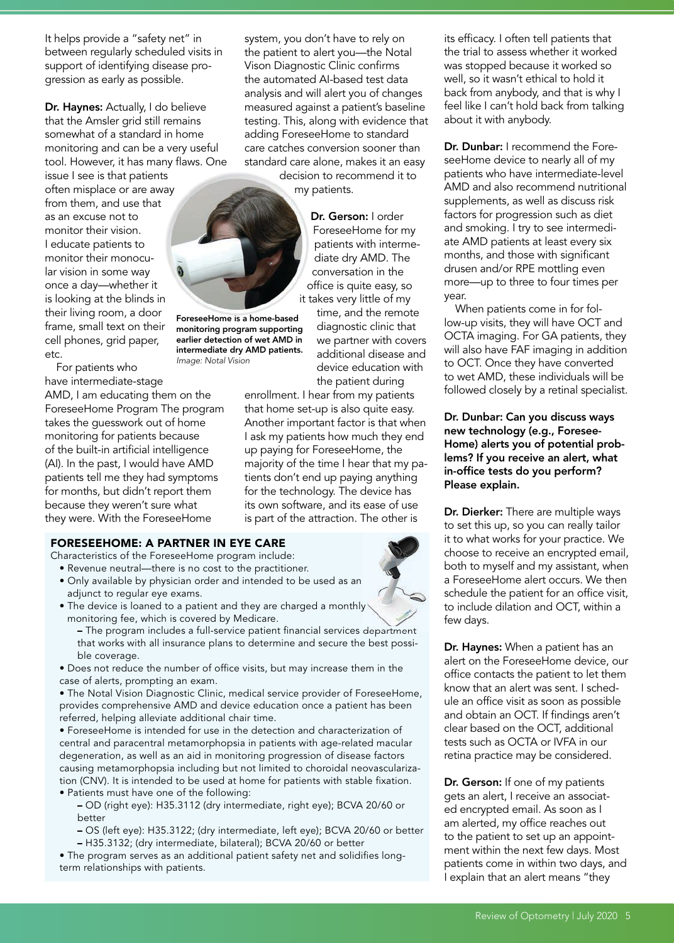It helps provide a "safety net" in between regularly scheduled visits in support of identifying disease progression as early as possible.

Dr. Haynes: Actually, I do believe that the Amsler grid still remains somewhat of a standard in home monitoring and can be a very useful tool. However, it has many flaws. One

issue I see is that patients often misplace or are away from them, and use that as an excuse not to monitor their vision. I educate patients to monitor their monocular vision in some way once a day—whether it is looking at the blinds in their living room, a door frame, small text on their cell phones, grid paper, etc.

For patients who have intermediate-stage AMD, I am educating them on the ForeseeHome Program The program takes the guesswork out of home monitoring for patients because of the built-in artificial intelligence

(AI). In the past, I would have AMD patients tell me they had symptoms for months, but didn't report them because they weren't sure what they were. With the ForeseeHome

# FORESEEHOME: A PARTNER IN EYE CARE

Characteristics of the ForeseeHome program include:

- Revenue neutral—there is no cost to the practitioner.
- Only available by physician order and intended to be used as an adjunct to regular eye exams.
- The device is loaned to a patient and they are charged a monthly monitoring fee, which is covered by Medicare.
	- The program includes a full-service patient financial services department that works with all insurance plans to determine and secure the best possible coverage.

• Does not reduce the number of office visits, but may increase them in the case of alerts, prompting an exam.

• The Notal Vision Diagnostic Clinic, medical service provider of ForeseeHome, provides comprehensive AMD and device education once a patient has been referred, helping alleviate additional chair time.

• ForeseeHome is intended for use in the detection and characterization of central and paracentral metamorphopsia in patients with age-related macular degeneration, as well as an aid in monitoring progression of disease factors causing metamorphopsia including but not limited to choroidal neovascularization (CNV). It is intended to be used at home for patients with stable fixation.

• Patients must have one of the following:

– OD (right eye): H35.3112 (dry intermediate, right eye); BCVA 20/60 or better

– OS (left eye): H35.3122; (dry intermediate, left eye); BCVA 20/60 or better

– H35.3132; (dry intermediate, bilateral); BCVA 20/60 or better

• The program serves as an additional patient safety net and solidifies longterm relationships with patients.

system, you don't have to rely on the patient to alert you—the Notal Vison Diagnostic Clinic confirms the automated AI-based test data analysis and will alert you of changes measured against a patient's baseline testing. This, along with evidence that adding ForeseeHome to standard care catches conversion sooner than standard care alone, makes it an easy

> decision to recommend it to my patients.

> > Dr. Gerson: I order ForeseeHome for my patients with intermediate dry AMD. The conversation in the office is quite easy, so it takes very little of my

time, and the remote diagnostic clinic that we partner with covers additional disease and device education with the patient during

enrollment. I hear from my patients that home set-up is also quite easy. Another important factor is that when I ask my patients how much they end up paying for ForeseeHome, the majority of the time I hear that my patients don't end up paying anything for the technology. The device has its own software, and its ease of use is part of the attraction. The other is



its efficacy. I often tell patients that the trial to assess whether it worked was stopped because it worked so well, so it wasn't ethical to hold it back from anybody, and that is why I feel like I can't hold back from talking about it with anybody.

Dr. Dunbar: I recommend the ForeseeHome device to nearly all of my patients who have intermediate-level AMD and also recommend nutritional supplements, as well as discuss risk factors for progression such as diet and smoking. I try to see intermediate AMD patients at least every six months, and those with significant drusen and/or RPE mottling even more—up to three to four times per year.

When patients come in for follow-up visits, they will have OCT and OCTA imaging. For GA patients, they will also have FAF imaging in addition to OCT. Once they have converted to wet AMD, these individuals will be followed closely by a retinal specialist.

Dr. Dunbar: Can you discuss ways new technology (e.g., Foresee-Home) alerts you of potential problems? If you receive an alert, what in-office tests do you perform? Please explain.

Dr. Dierker: There are multiple ways to set this up, so you can really tailor it to what works for your practice. We choose to receive an encrypted email, both to myself and my assistant, when a ForeseeHome alert occurs. We then schedule the patient for an office visit, to include dilation and OCT, within a few days.

Dr. Haynes: When a patient has an alert on the ForeseeHome device, our office contacts the patient to let them know that an alert was sent. I schedule an office visit as soon as possible and obtain an OCT. If findings aren't clear based on the OCT, additional tests such as OCTA or IVFA in our retina practice may be considered.

Dr. Gerson: If one of my patients gets an alert, I receive an associated encrypted email. As soon as I am alerted, my office reaches out to the patient to set up an appointment within the next few days. Most patients come in within two days, and I explain that an alert means "they

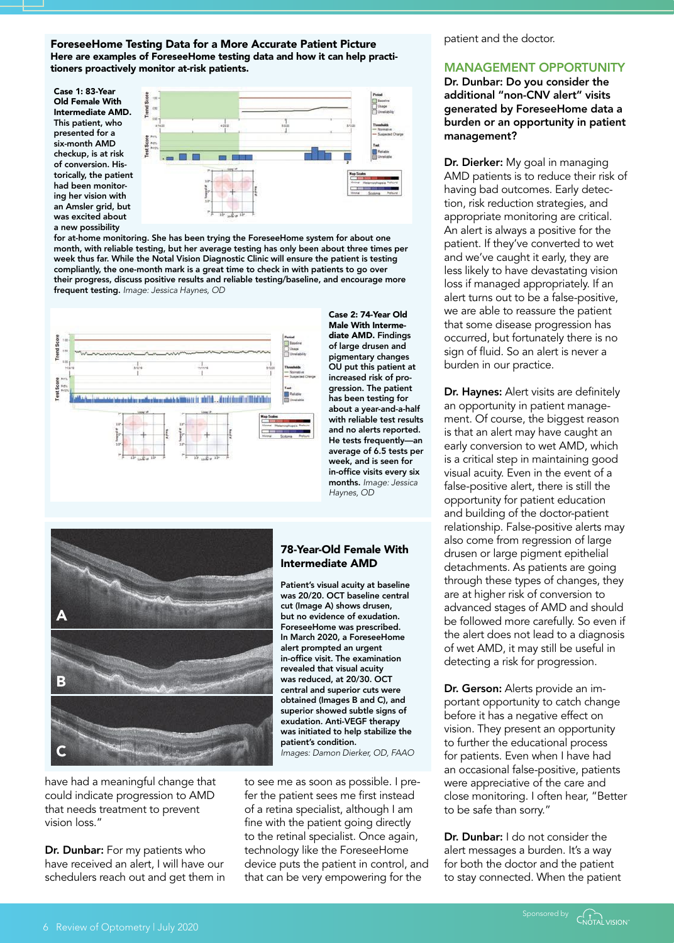ForeseeHome Testing Data for a More Accurate Patient Picture Here are examples of ForeseeHome testing data and how it can help practitioners proactively monitor at-risk patients.

Case 1: 83-Year Old Female With Intermediate AMD. This patient, who presented for a six-month AMD checkup, is at risk of conversion. Historically, the patient had been monitoring her vision with an Amsler grid, but was excited about a new possibility



for at-home monitoring. She has been trying the ForeseeHome system for about one month, with reliable testing, but her average testing has only been about three times per week thus far. While the Notal Vision Diagnostic Clinic will ensure the patient is testing compliantly, the one-month mark is a great time to check in with patients to go over their progress, discuss positive results and reliable testing/baseline, and encourage more frequent testing. *Image: Jessica Haynes, OD*



Case 2: 74-Year Old Male With Intermediate AMD. Findings of large drusen and pigmentary changes OU put this patient at increased risk of progression. The patient has been testing for about a year-and-a-half with reliable test results and no alerts reported. He tests frequently—an average of 6.5 tests per week, and is seen for in-office visits every six months. *Image: Jessica Haynes, OD*



have had a meaningful change that could indicate progression to AMD that needs treatment to prevent vision loss."

Dr. Dunbar: For my patients who have received an alert, I will have our schedulers reach out and get them in

#### 78-Year-Old Female With Intermediate AMD

Patient's visual acuity at baseline was 20/20. OCT baseline central cut (Image A) shows drusen, but no evidence of exudation. ForeseeHome was prescribed. In March 2020, a ForeseeHome alert prompted an urgent in-office visit. The examination revealed that visual acuity was reduced, at 20/30. OCT central and superior cuts were obtained (Images B and C), and superior showed subtle signs of exudation. Anti-VEGF therapy was initiated to help stabilize the patient's condition. *Images: Damon Dierker, OD, FAAO*

to see me as soon as possible. I prefer the patient sees me first instead of a retina specialist, although I am fine with the patient going directly to the retinal specialist. Once again, technology like the ForeseeHome device puts the patient in control, and that can be very empowering for the

patient and the doctor.

### MANAGEMENT OPPORTUNITY

Dr. Dunbar: Do you consider the additional "non-CNV alert" visits generated by ForeseeHome data a burden or an opportunity in patient management?

Dr. Dierker: My goal in managing AMD patients is to reduce their risk of having bad outcomes. Early detection, risk reduction strategies, and appropriate monitoring are critical. An alert is always a positive for the patient. If they've converted to wet and we've caught it early, they are less likely to have devastating vision loss if managed appropriately. If an alert turns out to be a false-positive, we are able to reassure the patient that some disease progression has occurred, but fortunately there is no sign of fluid. So an alert is never a burden in our practice.

Dr. Haynes: Alert visits are definitely an opportunity in patient management. Of course, the biggest reason is that an alert may have caught an early conversion to wet AMD, which is a critical step in maintaining good visual acuity. Even in the event of a false-positive alert, there is still the opportunity for patient education and building of the doctor-patient relationship. False-positive alerts may also come from regression of large drusen or large pigment epithelial detachments. As patients are going through these types of changes, they are at higher risk of conversion to advanced stages of AMD and should be followed more carefully. So even if the alert does not lead to a diagnosis of wet AMD, it may still be useful in detecting a risk for progression.

Dr. Gerson: Alerts provide an important opportunity to catch change before it has a negative effect on vision. They present an opportunity to further the educational process for patients. Even when I have had an occasional false-positive, patients were appreciative of the care and close monitoring. I often hear, "Better to be safe than sorry."

Dr. Dunbar: I do not consider the alert messages a burden. It's a way for both the doctor and the patient to stay connected. When the patient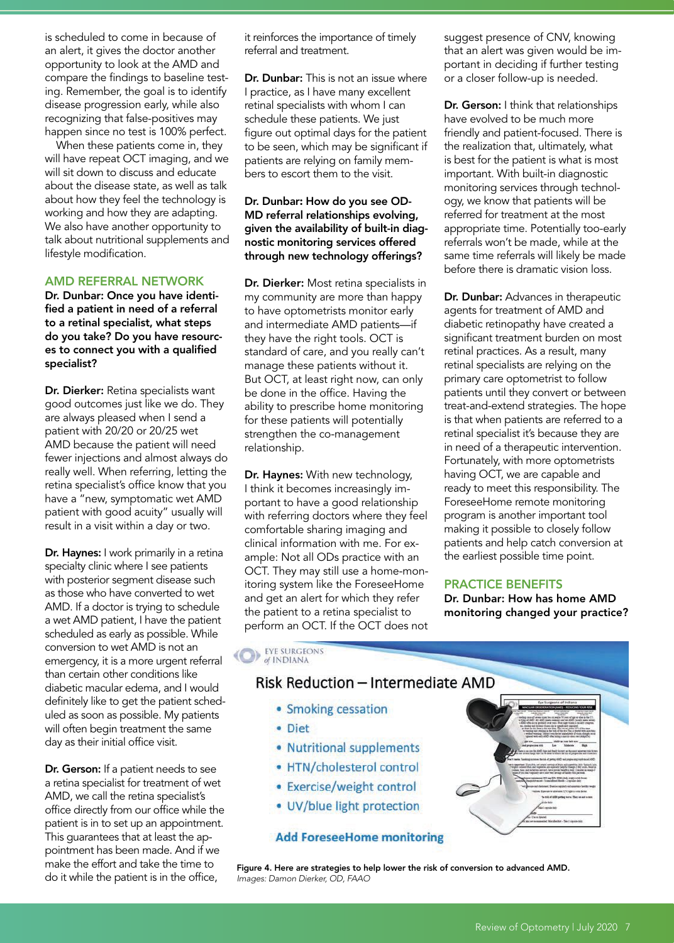is scheduled to come in because of an alert, it gives the doctor another opportunity to look at the AMD and compare the findings to baseline testing. Remember, the goal is to identify disease progression early, while also recognizing that false-positives may happen since no test is 100% perfect.

When these patients come in, they will have repeat OCT imaging, and we will sit down to discuss and educate about the disease state, as well as talk about how they feel the technology is working and how they are adapting. We also have another opportunity to talk about nutritional supplements and lifestyle modification.

#### AMD REFERRAL NETWORK

Dr. Dunbar: Once you have identified a patient in need of a referral to a retinal specialist, what steps do you take? Do you have resources to connect you with a qualified specialist?

Dr. Dierker: Retina specialists want good outcomes just like we do. They are always pleased when I send a patient with 20/20 or 20/25 wet AMD because the patient will need fewer injections and almost always do really well. When referring, letting the retina specialist's office know that you have a "new, symptomatic wet AMD patient with good acuity" usually will result in a visit within a day or two.

Dr. Haynes: I work primarily in a retina specialty clinic where I see patients with posterior segment disease such as those who have converted to wet AMD. If a doctor is trying to schedule a wet AMD patient, I have the patient scheduled as early as possible. While conversion to wet AMD is not an emergency, it is a more urgent referral than certain other conditions like diabetic macular edema, and I would definitely like to get the patient scheduled as soon as possible. My patients will often begin treatment the same day as their initial office visit.

Dr. Gerson: If a patient needs to see a retina specialist for treatment of wet AMD, we call the retina specialist's office directly from our office while the patient is in to set up an appointment. This guarantees that at least the appointment has been made. And if we make the effort and take the time to do it while the patient is in the office,

it reinforces the importance of timely referral and treatment.

Dr. Dunbar: This is not an issue where I practice, as I have many excellent retinal specialists with whom I can schedule these patients. We just figure out optimal days for the patient to be seen, which may be significant if patients are relying on family members to escort them to the visit.

#### Dr. Dunbar: How do you see OD-MD referral relationships evolving, given the availability of built-in diagnostic monitoring services offered through new technology offerings?

Dr. Dierker: Most retina specialists in my community are more than happy to have optometrists monitor early and intermediate AMD patients—if they have the right tools. OCT is standard of care, and you really can't manage these patients without it. But OCT, at least right now, can only be done in the office. Having the ability to prescribe home monitoring for these patients will potentially strengthen the co-management relationship.

Dr. Haynes: With new technology, I think it becomes increasingly important to have a good relationship with referring doctors where they feel comfortable sharing imaging and clinical information with me. For example: Not all ODs practice with an OCT. They may still use a home-monitoring system like the ForeseeHome and get an alert for which they refer the patient to a retina specialist to perform an OCT. If the OCT does not suggest presence of CNV, knowing that an alert was given would be important in deciding if further testing or a closer follow-up is needed.

Dr. Gerson: I think that relationships have evolved to be much more friendly and patient-focused. There is the realization that, ultimately, what is best for the patient is what is most important. With built-in diagnostic monitoring services through technology, we know that patients will be referred for treatment at the most appropriate time. Potentially too-early referrals won't be made, while at the same time referrals will likely be made before there is dramatic vision loss.

Dr. Dunbar: Advances in therapeutic agents for treatment of AMD and diabetic retinopathy have created a significant treatment burden on most retinal practices. As a result, many retinal specialists are relying on the primary care optometrist to follow patients until they convert or between treat-and-extend strategies. The hope is that when patients are referred to a retinal specialist it's because they are in need of a therapeutic intervention. Fortunately, with more optometrists having OCT, we are capable and ready to meet this responsibility. The ForeseeHome remote monitoring program is another important tool making it possible to closely follow patients and help catch conversion at the earliest possible time point.

#### PRACTICE BENEFITS

Dr. Dunbar: How has home AMD monitoring changed your practice?

**DE EXE SURGEONS** of INDIANA

# Risk Reduction - Intermediate AMD

- Smoking cessation
- · Diet
- Nutritional supplements
- HTN/cholesterol control
- Exercise/weight control
- UV/blue light protection

#### **Add ForeseeHome monitoring**



Figure 4. Here are strategies to help lower the risk of conversion to advanced AMD. *Images: Damon Dierker, OD, FAAO*